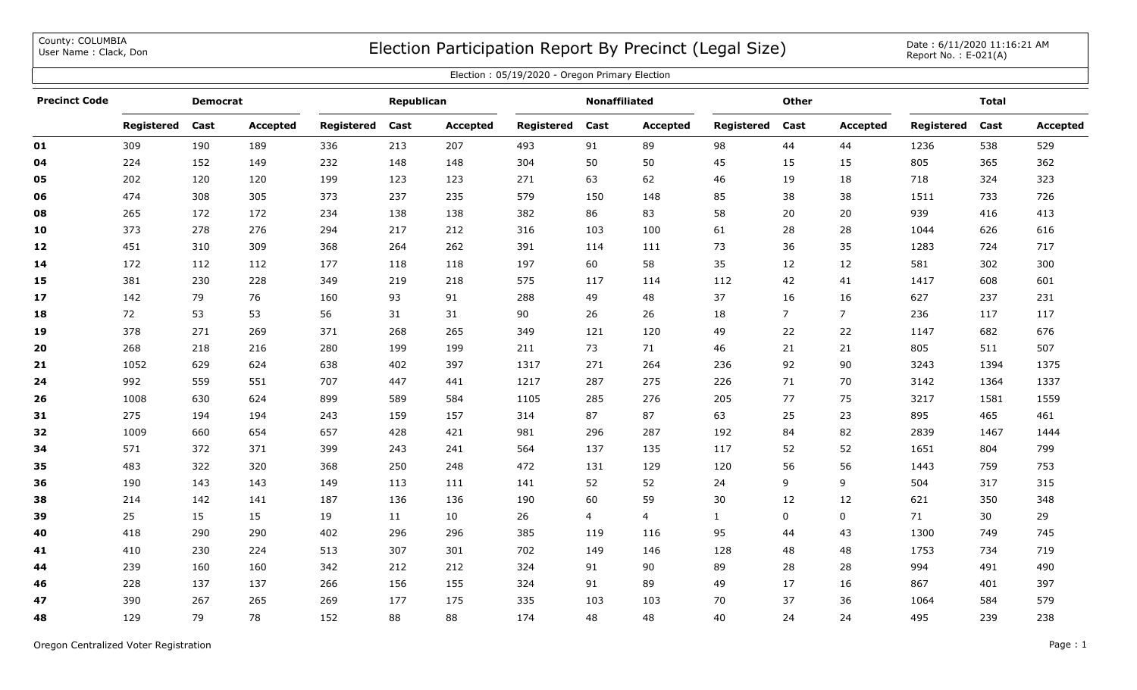County: COLUMBIA<br>User Name: Clack, Don

## COUNTY: COLUMBIA<br>User Name : Clack, Don Date : 6/11/2020 11:16:21 AM

| Election: 05/19/2020 - Oregon Primary Election |                 |      |          |            |      |                 |                      |      |                 |              |                |                 |                   |      |          |
|------------------------------------------------|-----------------|------|----------|------------|------|-----------------|----------------------|------|-----------------|--------------|----------------|-----------------|-------------------|------|----------|
| <b>Precinct Code</b>                           | <b>Democrat</b> |      |          | Republican |      |                 | <b>Nonaffiliated</b> |      |                 | Other        |                |                 | <b>Total</b>      |      |          |
|                                                | Registered      | Cast | Accepted | Registered | Cast | <b>Accepted</b> | Registered           | Cast | <b>Accepted</b> | Registered   | Cast           | <b>Accepted</b> | <b>Registered</b> | Cast | Accepted |
| 01                                             | 309             | 190  | 189      | 336        | 213  | 207             | 493                  | 91   | 89              | 98           | 44             | 44              | 1236              | 538  | 529      |
| 04                                             | 224             | 152  | 149      | 232        | 148  | 148             | 304                  | 50   | 50              | 45           | 15             | 15              | 805               | 365  | 362      |
| 05                                             | 202             | 120  | 120      | 199        | 123  | 123             | 271                  | 63   | 62              | 46           | 19             | 18              | 718               | 324  | 323      |
| 06                                             | 474             | 308  | 305      | 373        | 237  | 235             | 579                  | 150  | 148             | 85           | 38             | 38              | 1511              | 733  | 726      |
| 08                                             | 265             | 172  | 172      | 234        | 138  | 138             | 382                  | 86   | 83              | 58           | 20             | 20              | 939               | 416  | 413      |
| 10                                             | 373             | 278  | 276      | 294        | 217  | 212             | 316                  | 103  | 100             | 61           | 28             | 28              | 1044              | 626  | 616      |
| 12                                             | 451             | 310  | 309      | 368        | 264  | 262             | 391                  | 114  | 111             | 73           | 36             | 35              | 1283              | 724  | 717      |
| 14                                             | 172             | 112  | 112      | 177        | 118  | 118             | 197                  | 60   | 58              | 35           | 12             | 12              | 581               | 302  | 300      |
| 15                                             | 381             | 230  | 228      | 349        | 219  | 218             | 575                  | 117  | 114             | 112          | 42             | 41              | 1417              | 608  | 601      |
| 17                                             | 142             | 79   | 76       | 160        | 93   | 91              | 288                  | 49   | 48              | 37           | 16             | 16              | 627               | 237  | 231      |
| 18                                             | 72              | 53   | 53       | 56         | 31   | 31              | 90                   | 26   | 26              | 18           | $\overline{7}$ | 7 <sup>7</sup>  | 236               | 117  | 117      |
| 19                                             | 378             | 271  | 269      | 371        | 268  | 265             | 349                  | 121  | 120             | 49           | 22             | 22              | 1147              | 682  | 676      |
| 20                                             | 268             | 218  | 216      | 280        | 199  | 199             | 211                  | 73   | 71              | 46           | 21             | 21              | 805               | 511  | 507      |
| 21                                             | 1052            | 629  | 624      | 638        | 402  | 397             | 1317                 | 271  | 264             | 236          | 92             | 90              | 3243              | 1394 | 1375     |
| 24                                             | 992             | 559  | 551      | 707        | 447  | 441             | 1217                 | 287  | 275             | 226          | 71             | 70              | 3142              | 1364 | 1337     |
| 26                                             | 1008            | 630  | 624      | 899        | 589  | 584             | 1105                 | 285  | 276             | 205          | 77             | 75              | 3217              | 1581 | 1559     |
| 31                                             | 275             | 194  | 194      | 243        | 159  | 157             | 314                  | 87   | 87              | 63           | 25             | 23              | 895               | 465  | 461      |
| 32                                             | 1009            | 660  | 654      | 657        | 428  | 421             | 981                  | 296  | 287             | 192          | 84             | 82              | 2839              | 1467 | 1444     |
| 34                                             | 571             | 372  | 371      | 399        | 243  | 241             | 564                  | 137  | 135             | 117          | 52             | 52              | 1651              | 804  | 799      |
| 35                                             | 483             | 322  | 320      | 368        | 250  | 248             | 472                  | 131  | 129             | 120          | 56             | 56              | 1443              | 759  | 753      |
| 36                                             | 190             | 143  | 143      | 149        | 113  | 111             | 141                  | 52   | 52              | 24           | 9              | 9               | 504               | 317  | 315      |
| 38                                             | 214             | 142  | 141      | 187        | 136  | 136             | 190                  | 60   | 59              | 30           | 12             | 12              | 621               | 350  | 348      |
| 39                                             | 25              | 15   | 15       | 19         | 11   | 10              | 26                   | 4    | 4               | $\mathbf{1}$ | 0              | 0               | 71                | 30   | 29       |
| 40                                             | 418             | 290  | 290      | 402        | 296  | 296             | 385                  | 119  | 116             | 95           | 44             | 43              | 1300              | 749  | 745      |
| 41                                             | 410             | 230  | 224      | 513        | 307  | 301             | 702                  | 149  | 146             | 128          | 48             | 48              | 1753              | 734  | 719      |
| 44                                             | 239             | 160  | 160      | 342        | 212  | 212             | 324                  | 91   | 90              | 89           | 28             | 28              | 994               | 491  | 490      |
| 46                                             | 228             | 137  | 137      | 266        | 156  | 155             | 324                  | 91   | 89              | 49           | 17             | 16              | 867               | 401  | 397      |
| 47                                             | 390             | 267  | 265      | 269        | 177  | 175             | 335                  | 103  | 103             | 70           | 37             | 36              | 1064              | 584  | 579      |
| 48                                             | 129             | 79   | 78       | 152        | 88   | 88              | 174                  | 48   | 48              | 40           | 24             | 24              | 495               | 239  | 238      |